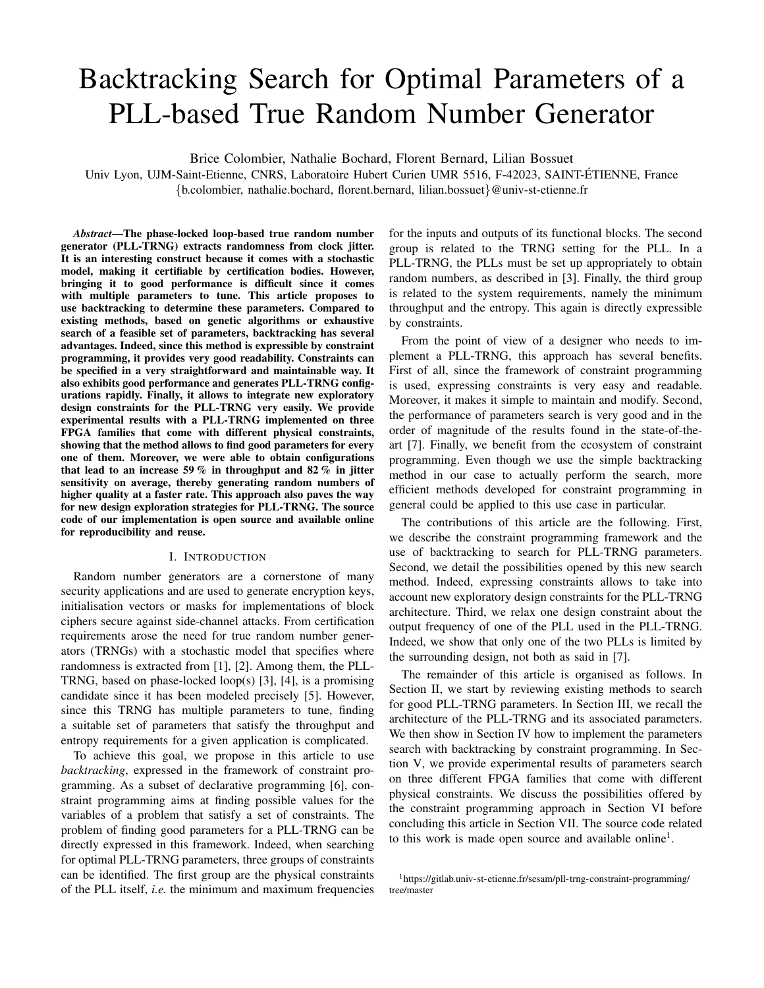# Backtracking Search for Optimal Parameters of a PLL-based True Random Number Generator

Brice Colombier, Nathalie Bochard, Florent Bernard, Lilian Bossuet

Univ Lyon, UJM-Saint-Etienne, CNRS, Laboratoire Hubert Curien UMR 5516, F-42023, SAINT-ETIENNE, France ´ {b.colombier, nathalie.bochard, florent.bernard, lilian.bossuet}@univ-st-etienne.fr

*Abstract*—The phase-locked loop-based true random number generator (PLL-TRNG) extracts randomness from clock jitter. It is an interesting construct because it comes with a stochastic model, making it certifiable by certification bodies. However, bringing it to good performance is difficult since it comes with multiple parameters to tune. This article proposes to use backtracking to determine these parameters. Compared to existing methods, based on genetic algorithms or exhaustive search of a feasible set of parameters, backtracking has several advantages. Indeed, since this method is expressible by constraint programming, it provides very good readability. Constraints can be specified in a very straightforward and maintainable way. It also exhibits good performance and generates PLL-TRNG configurations rapidly. Finally, it allows to integrate new exploratory design constraints for the PLL-TRNG very easily. We provide experimental results with a PLL-TRNG implemented on three FPGA families that come with different physical constraints, showing that the method allows to find good parameters for every one of them. Moreover, we were able to obtain configurations that lead to an increase 59 % in throughput and 82 % in jitter sensitivity on average, thereby generating random numbers of higher quality at a faster rate. This approach also paves the way for new design exploration strategies for PLL-TRNG. The source code of our implementation is open source and available online for reproducibility and reuse.

## I. INTRODUCTION

Random number generators are a cornerstone of many security applications and are used to generate encryption keys, initialisation vectors or masks for implementations of block ciphers secure against side-channel attacks. From certification requirements arose the need for true random number generators (TRNGs) with a stochastic model that specifies where randomness is extracted from [\[1\]](#page-5-0), [\[2\]](#page-5-1). Among them, the PLL-TRNG, based on phase-locked loop(s) [\[3\]](#page-5-2), [\[4\]](#page-5-3), is a promising candidate since it has been modeled precisely [\[5\]](#page-5-4). However, since this TRNG has multiple parameters to tune, finding a suitable set of parameters that satisfy the throughput and entropy requirements for a given application is complicated.

To achieve this goal, we propose in this article to use *backtracking*, expressed in the framework of constraint programming. As a subset of declarative programming [\[6\]](#page-5-5), constraint programming aims at finding possible values for the variables of a problem that satisfy a set of constraints. The problem of finding good parameters for a PLL-TRNG can be directly expressed in this framework. Indeed, when searching for optimal PLL-TRNG parameters, three groups of constraints can be identified. The first group are the physical constraints of the PLL itself, *i.e.* the minimum and maximum frequencies for the inputs and outputs of its functional blocks. The second group is related to the TRNG setting for the PLL. In a PLL-TRNG, the PLLs must be set up appropriately to obtain random numbers, as described in [\[3\]](#page-5-2). Finally, the third group is related to the system requirements, namely the minimum throughput and the entropy. This again is directly expressible by constraints.

From the point of view of a designer who needs to implement a PLL-TRNG, this approach has several benefits. First of all, since the framework of constraint programming is used, expressing constraints is very easy and readable. Moreover, it makes it simple to maintain and modify. Second, the performance of parameters search is very good and in the order of magnitude of the results found in the state-of-theart [\[7\]](#page-5-6). Finally, we benefit from the ecosystem of constraint programming. Even though we use the simple backtracking method in our case to actually perform the search, more efficient methods developed for constraint programming in general could be applied to this use case in particular.

The contributions of this article are the following. First, we describe the constraint programming framework and the use of backtracking to search for PLL-TRNG parameters. Second, we detail the possibilities opened by this new search method. Indeed, expressing constraints allows to take into account new exploratory design constraints for the PLL-TRNG architecture. Third, we relax one design constraint about the output frequency of one of the PLL used in the PLL-TRNG. Indeed, we show that only one of the two PLLs is limited by the surrounding design, not both as said in [\[7\]](#page-5-6).

The remainder of this article is organised as follows. In Section [II,](#page-1-0) we start by reviewing existing methods to search for good PLL-TRNG parameters. In Section [III,](#page-1-1) we recall the architecture of the PLL-TRNG and its associated parameters. We then show in Section [IV](#page-2-0) how to implement the parameters search with backtracking by constraint programming. In Section [V,](#page-2-1) we provide experimental results of parameters search on three different FPGA families that come with different physical constraints. We discuss the possibilities offered by the constraint programming approach in Section [VI](#page-4-0) before concluding this article in Section [VII.](#page-5-7) The source code related to this work is made open source and available online<sup>[1](#page-0-0)</sup>.

<span id="page-0-0"></span><sup>1</sup>[https://gitlab.univ-st-etienne.fr/sesam/pll-trng-constraint-programming/](https://gitlab.univ-st-etienne.fr/sesam/pll-trng-constraint-programming/tree/master) [tree/master](https://gitlab.univ-st-etienne.fr/sesam/pll-trng-constraint-programming/tree/master)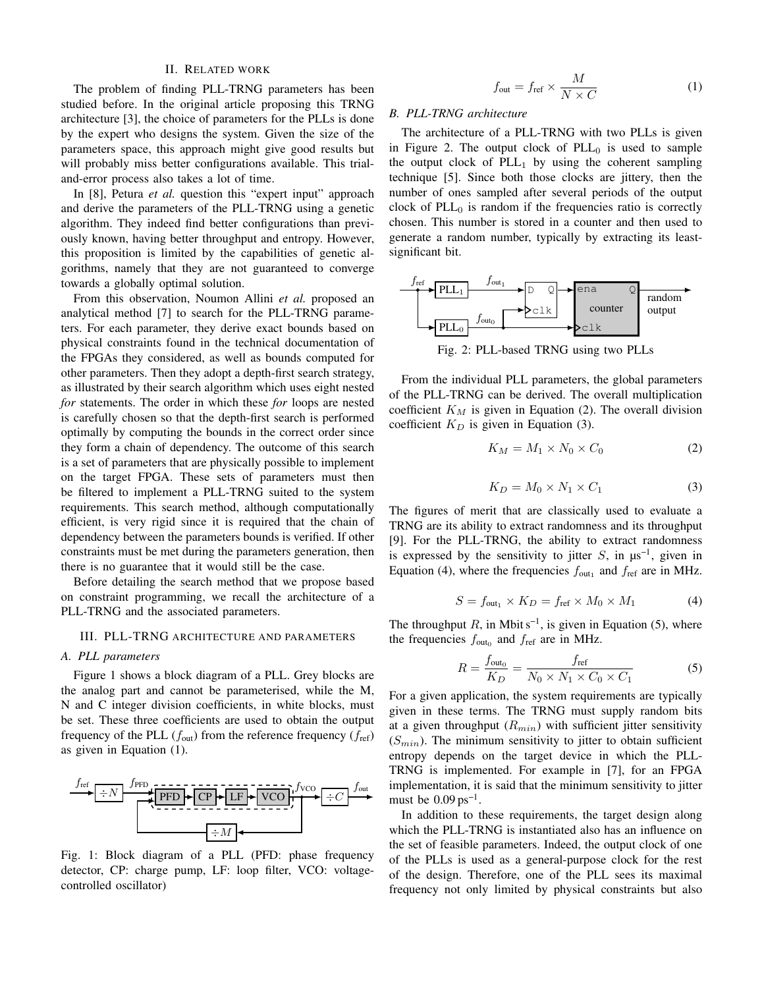## II. RELATED WORK

<span id="page-1-0"></span>The problem of finding PLL-TRNG parameters has been studied before. In the original article proposing this TRNG architecture [\[3\]](#page-5-2), the choice of parameters for the PLLs is done by the expert who designs the system. Given the size of the parameters space, this approach might give good results but will probably miss better configurations available. This trialand-error process also takes a lot of time.

In [\[8\]](#page-5-8), Petura *et al.* question this "expert input" approach and derive the parameters of the PLL-TRNG using a genetic algorithm. They indeed find better configurations than previously known, having better throughput and entropy. However, this proposition is limited by the capabilities of genetic algorithms, namely that they are not guaranteed to converge towards a globally optimal solution.

From this observation, Noumon Allini *et al.* proposed an analytical method [\[7\]](#page-5-6) to search for the PLL-TRNG parameters. For each parameter, they derive exact bounds based on physical constraints found in the technical documentation of the FPGAs they considered, as well as bounds computed for other parameters. Then they adopt a depth-first search strategy, as illustrated by their search algorithm which uses eight nested *for* statements. The order in which these *for* loops are nested is carefully chosen so that the depth-first search is performed optimally by computing the bounds in the correct order since they form a chain of dependency. The outcome of this search is a set of parameters that are physically possible to implement on the target FPGA. These sets of parameters must then be filtered to implement a PLL-TRNG suited to the system requirements. This search method, although computationally efficient, is very rigid since it is required that the chain of dependency between the parameters bounds is verified. If other constraints must be met during the parameters generation, then there is no guarantee that it would still be the case.

Before detailing the search method that we propose based on constraint programming, we recall the architecture of a PLL-TRNG and the associated parameters.

### <span id="page-1-1"></span>III. PLL-TRNG ARCHITECTURE AND PARAMETERS

#### *A. PLL parameters*

Figure [1](#page-1-2) shows a block diagram of a PLL. Grey blocks are the analog part and cannot be parameterised, while the M, N and C integer division coefficients, in white blocks, must be set. These three coefficients are used to obtain the output frequency of the PLL  $(f_{out})$  from the reference frequency  $(f_{ref})$ as given in Equation [\(1\)](#page-1-3).

<span id="page-1-2"></span>

Fig. 1: Block diagram of a PLL (PFD: phase frequency detector, CP: charge pump, LF: loop filter, VCO: voltagecontrolled oscillator)

$$
f_{\text{out}} = f_{\text{ref}} \times \frac{M}{N \times C} \tag{1}
$$

#### <span id="page-1-9"></span><span id="page-1-3"></span>*B. PLL-TRNG architecture*

The architecture of a PLL-TRNG with two PLLs is given in Figure [2.](#page-1-4) The output clock of  $PLL_0$  is used to sample the output clock of  $PLL<sub>1</sub>$  by using the coherent sampling technique [\[5\]](#page-5-4). Since both those clocks are jittery, then the number of ones sampled after several periods of the output clock of  $PLL<sub>0</sub>$  is random if the frequencies ratio is correctly chosen. This number is stored in a counter and then used to generate a random number, typically by extracting its leastsignificant bit.

<span id="page-1-4"></span>

Fig. 2: PLL-based TRNG using two PLLs

From the individual PLL parameters, the global parameters of the PLL-TRNG can be derived. The overall multiplication coefficient  $K_M$  is given in Equation [\(2\)](#page-1-5). The overall division coefficient  $K_D$  is given in Equation [\(3\)](#page-1-6).

<span id="page-1-5"></span>
$$
K_M = M_1 \times N_0 \times C_0 \tag{2}
$$

$$
K_D = M_0 \times N_1 \times C_1 \tag{3}
$$

<span id="page-1-6"></span>The figures of merit that are classically used to evaluate a TRNG are its ability to extract randomness and its throughput [\[9\]](#page-5-9). For the PLL-TRNG, the ability to extract randomness is expressed by the sensitivity to jitter  $S$ , in  $\mu s^{-1}$ , given in Equation [\(4\)](#page-1-7), where the frequencies  $f_{\text{out}_1}$  and  $f_{\text{ref}}$  are in MHz.

$$
S = f_{\text{out}_1} \times K_D = f_{\text{ref}} \times M_0 \times M_1 \tag{4}
$$

<span id="page-1-7"></span>The throughput  $R$ , in Mbit s<sup>-1</sup>, is given in Equation [\(5\)](#page-1-8), where the frequencies  $f_{\text{out}_0}$  and  $f_{\text{ref}}$  are in MHz.

<span id="page-1-8"></span>
$$
R = \frac{f_{\text{out}_0}}{K_D} = \frac{f_{\text{ref}}}{N_0 \times N_1 \times C_0 \times C_1}
$$
 (5)

For a given application, the system requirements are typically given in these terms. The TRNG must supply random bits at a given throughput  $(R_{min})$  with sufficient jitter sensitivity  $(S_{min})$ . The minimum sensitivity to jitter to obtain sufficient entropy depends on the target device in which the PLL-TRNG is implemented. For example in [\[7\]](#page-5-6), for an FPGA implementation, it is said that the minimum sensitivity to jitter must be  $0.09 \text{ ps}^{-1}$ .

In addition to these requirements, the target design along which the PLL-TRNG is instantiated also has an influence on the set of feasible parameters. Indeed, the output clock of one of the PLLs is used as a general-purpose clock for the rest of the design. Therefore, one of the PLL sees its maximal frequency not only limited by physical constraints but also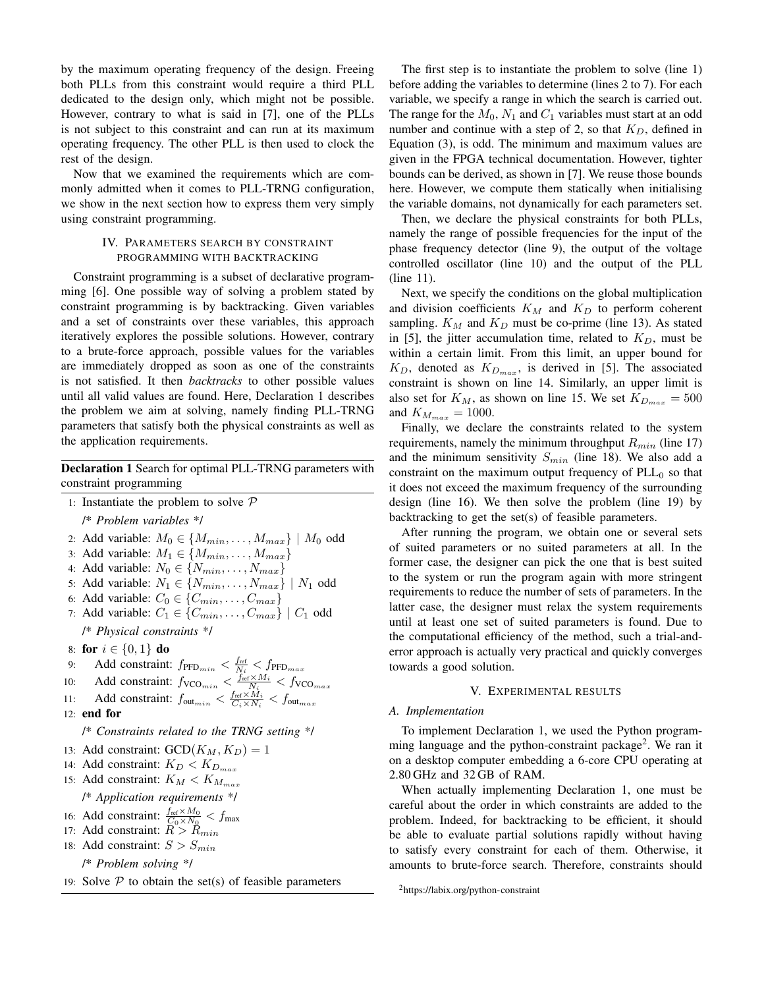by the maximum operating frequency of the design. Freeing both PLLs from this constraint would require a third PLL dedicated to the design only, which might not be possible. However, contrary to what is said in [\[7\]](#page-5-6), one of the PLLs is not subject to this constraint and can run at its maximum operating frequency. The other PLL is then used to clock the rest of the design.

Now that we examined the requirements which are commonly admitted when it comes to PLL-TRNG configuration, we show in the next section how to express them very simply using constraint programming.

## IV. PARAMETERS SEARCH BY CONSTRAINT PROGRAMMING WITH BACKTRACKING

<span id="page-2-0"></span>Constraint programming is a subset of declarative programming [\[6\]](#page-5-5). One possible way of solving a problem stated by constraint programming is by backtracking. Given variables and a set of constraints over these variables, this approach iteratively explores the possible solutions. However, contrary to a brute-force approach, possible values for the variables are immediately dropped as soon as one of the constraints is not satisfied. It then *backtracks* to other possible values until all valid values are found. Here, Declaration [1](#page-2-2) describes the problem we aim at solving, namely finding PLL-TRNG parameters that satisfy both the physical constraints as well as the application requirements.

<span id="page-2-2"></span>Declaration 1 Search for optimal PLL-TRNG parameters with constraint programming

- <span id="page-2-4"></span><span id="page-2-3"></span>1: Instantiate the problem to solve  $P$ /\* *Problem variables* \*/
- 2: Add variable:  $M_0 \in \{M_{min}, \ldots, M_{max}\}\mid M_0$  odd
- 3: Add variable:  $M_1 \in \{M_{min}, \ldots, M_{max}\}\$
- 4: Add variable:  $N_0 \in \{N_{min}, \ldots, N_{max}\}\$
- 5: Add variable:  $N_1 \in \{N_{min}, \ldots, N_{max}\} \mid N_1 \text{ odd}$
- 6: Add variable:  $C_0 \in \{C_{min}, \ldots, C_{max}\}\$
- 7: Add variable:  $C_1 \in \{C_{min}, \ldots, C_{max}\} \mid C_1$  odd

/\* *Physical constraints* \*/

- 8: for  $i \in \{0, 1\}$  do
- <span id="page-2-6"></span>9: Add constraint:  $f_{\text{PFD}_{min}} < \frac{f_{\text{ref}}}{N_i} < f_{\text{PFD}_{max}}$
- 10: Add constraint:  $f_{\text{VCO}_{min}} < \frac{f_{\text{ref}} \times M_i}{N_i} < f_{\text{VCO}_{max}}$
- 11: Add constraint:  $f_{\text{out}_{min}} < \frac{f_{\text{ref}} \times M_i}{C_i \times N_i} < f_{\text{out}_{max}}$
- 12: end for

/\* *Constraints related to the TRNG setting* \*/

- 13: Add constraint:  $GCD(K_M, K_D) = 1$
- 14: Add constraint:  $K_D < K_{D_{max}}$
- 15: Add constraint:  $K_M < K_{M_{max}}$
- <span id="page-2-13"></span>/\* *Application requirements* \*/
- 16: Add constraint:  $\frac{f_{\text{ref}} \times M_0}{C_0 \times N_0} < f_{\text{max}}$
- 17: Add constraint:  $R > R_{min}$
- <span id="page-2-15"></span>18: Add constraint:  $S > S_{min}$ 
	- /\* *Problem solving* \*/

19: Solve  $P$  to obtain the set(s) of feasible parameters

The first step is to instantiate the problem to solve (line [1\)](#page-2-3) before adding the variables to determine (lines [2](#page-2-4) to [7\)](#page-2-5). For each variable, we specify a range in which the search is carried out. The range for the  $M_0$ ,  $N_1$  and  $C_1$  variables must start at an odd number and continue with a step of 2, so that  $K_D$ , defined in Equation [\(3\)](#page-1-6), is odd. The minimum and maximum values are given in the FPGA technical documentation. However, tighter bounds can be derived, as shown in [\[7\]](#page-5-6). We reuse those bounds here. However, we compute them statically when initialising the variable domains, not dynamically for each parameters set.

Then, we declare the physical constraints for both PLLs, namely the range of possible frequencies for the input of the phase frequency detector (line [9\)](#page-2-6), the output of the voltage controlled oscillator (line [10\)](#page-2-7) and the output of the PLL (line [11\)](#page-2-8).

Next, we specify the conditions on the global multiplication and division coefficients  $K_M$  and  $K_D$  to perform coherent sampling.  $K_M$  and  $K_D$  must be co-prime (line [13\)](#page-2-9). As stated in [\[5\]](#page-5-4), the jitter accumulation time, related to  $K_D$ , must be within a certain limit. From this limit, an upper bound for  $K_D$ , denoted as  $K_{D_{max}}$ , is derived in [\[5\]](#page-5-4). The associated constraint is shown on line [14.](#page-2-10) Similarly, an upper limit is also set for  $K_M$ , as shown on line [15.](#page-2-11) We set  $K_{D_{max}} = 500$ and  $K_{M_{max}} = 1000$ .

Finally, we declare the constraints related to the system requirements, namely the minimum throughput  $R_{min}$  (line [17\)](#page-2-12) and the minimum sensitivity  $S_{min}$  (line [18\)](#page-2-13). We also add a constraint on the maximum output frequency of  $PLL_0$  so that it does not exceed the maximum frequency of the surrounding design (line [16\)](#page-2-14). We then solve the problem (line [19\)](#page-2-15) by backtracking to get the set(s) of feasible parameters.

<span id="page-2-5"></span>After running the program, we obtain one or several sets of suited parameters or no suited parameters at all. In the former case, the designer can pick the one that is best suited to the system or run the program again with more stringent requirements to reduce the number of sets of parameters. In the latter case, the designer must relax the system requirements until at least one set of suited parameters is found. Due to the computational efficiency of the method, such a trial-anderror approach is actually very practical and quickly converges towards a good solution.

## V. EXPERIMENTAL RESULTS

## <span id="page-2-8"></span><span id="page-2-7"></span><span id="page-2-1"></span>*A. Implementation*

<span id="page-2-11"></span><span id="page-2-10"></span><span id="page-2-9"></span>To implement Declaration [1,](#page-2-2) we used the Python program-ming language and the python-constraint package<sup>[2](#page-2-16)</sup>. We ran it on a desktop computer embedding a 6-core CPU operating at 2.80 GHz and 32 GB of RAM.

<span id="page-2-14"></span><span id="page-2-12"></span>When actually implementing Declaration [1,](#page-2-2) one must be careful about the order in which constraints are added to the problem. Indeed, for backtracking to be efficient, it should be able to evaluate partial solutions rapidly without having to satisfy every constraint for each of them. Otherwise, it amounts to brute-force search. Therefore, constraints should

<span id="page-2-16"></span><sup>2</sup><https://labix.org/python-constraint>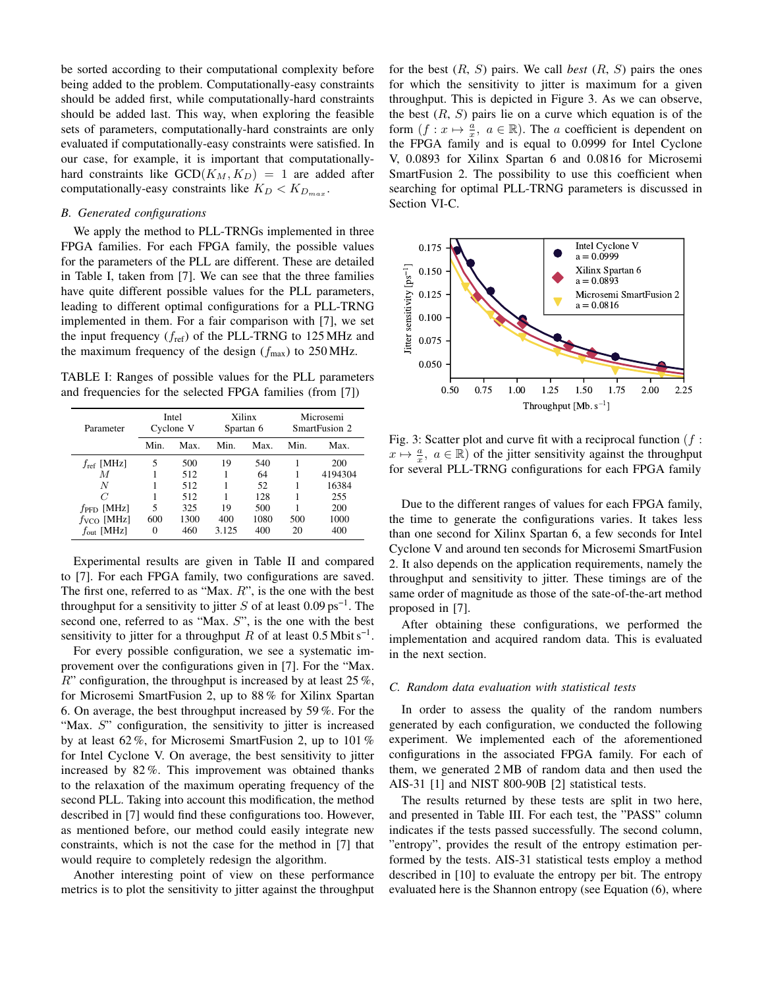be sorted according to their computational complexity before being added to the problem. Computationally-easy constraints should be added first, while computationally-hard constraints should be added last. This way, when exploring the feasible sets of parameters, computationally-hard constraints are only evaluated if computationally-easy constraints were satisfied. In our case, for example, it is important that computationallyhard constraints like  $GCD(K_M, K_D) = 1$  are added after computationally-easy constraints like  $K_D < K_{D_{max}}$ .

### *B. Generated configurations*

We apply the method to PLL-TRNGs implemented in three FPGA families. For each FPGA family, the possible values for the parameters of the PLL are different. These are detailed in Table [I,](#page-3-0) taken from [\[7\]](#page-5-6). We can see that the three families have quite different possible values for the PLL parameters, leading to different optimal configurations for a PLL-TRNG implemented in them. For a fair comparison with [\[7\]](#page-5-6), we set the input frequency  $(f_{ref})$  of the PLL-TRNG to 125 MHz and the maximum frequency of the design  $(f_{\text{max}})$  to 250 MHz.

<span id="page-3-0"></span>TABLE I: Ranges of possible values for the PLL parameters and frequencies for the selected FPGA families (from [\[7\]](#page-5-6))

| Parameter              | Intel<br>Cyclone V |      |       | Xilinx<br>Spartan 6 | Microsemi<br>SmartFusion 2 |         |
|------------------------|--------------------|------|-------|---------------------|----------------------------|---------|
|                        | Min.               | Max. | Min.  | Max.                | Min.                       | Max.    |
| $f_{\text{ref}}$ [MHz] | 5                  | 500  | 19    | 540                 |                            | 200     |
| М                      |                    | 512  |       | 64                  |                            | 4194304 |
| N                      |                    | 512  |       | 52                  |                            | 16384   |
| C                      |                    | 512  |       | 128                 |                            | 255     |
| $f_{\rm PFD}$ [MHz]    | 5                  | 325  | 19    | 500                 |                            | 200     |
| $f_{VCO}$ [MHz]        | 600                | 1300 | 400   | 1080                | 500                        | 1000    |
| $f_{\text{out}}$ [MHz] | 0                  | 460  | 3.125 | 400                 | 20                         | 400     |

Experimental results are given in Table [II](#page-4-1) and compared to [\[7\]](#page-5-6). For each FPGA family, two configurations are saved. The first one, referred to as "Max.  $R$ ", is the one with the best throughput for a sensitivity to jitter S of at least  $0.09 \text{ ps}^{-1}$ . The second one, referred to as "Max. S", is the one with the best sensitivity to jitter for a throughput R of at least  $0.5$  Mbit s<sup>-1</sup>.

For every possible configuration, we see a systematic improvement over the configurations given in [\[7\]](#page-5-6). For the "Max.  $R$ " configuration, the throughput is increased by at least 25 %, for Microsemi SmartFusion 2, up to 88 % for Xilinx Spartan 6. On average, the best throughput increased by 59 %. For the "Max. S" configuration, the sensitivity to jitter is increased by at least 62 %, for Microsemi SmartFusion 2, up to 101 % for Intel Cyclone V. On average, the best sensitivity to jitter increased by 82 %. This improvement was obtained thanks to the relaxation of the maximum operating frequency of the second PLL. Taking into account this modification, the method described in [\[7\]](#page-5-6) would find these configurations too. However, as mentioned before, our method could easily integrate new constraints, which is not the case for the method in [\[7\]](#page-5-6) that would require to completely redesign the algorithm.

Another interesting point of view on these performance metrics is to plot the sensitivity to jitter against the throughput for the best  $(R, S)$  pairs. We call *best*  $(R, S)$  pairs the ones for which the sensitivity to jitter is maximum for a given throughput. This is depicted in Figure [3.](#page-3-1) As we can observe, the best  $(R, S)$  pairs lie on a curve which equation is of the form  $(f: x \mapsto \frac{a}{x}, a \in \mathbb{R})$ . The a coefficient is dependent on the FPGA family and is equal to 0.0999 for Intel Cyclone V, 0.0893 for Xilinx Spartan 6 and 0.0816 for Microsemi SmartFusion 2. The possibility to use this coefficient when searching for optimal PLL-TRNG parameters is discussed in Section [VI-C.](#page-5-10)

<span id="page-3-1"></span>

Fig. 3: Scatter plot and curve fit with a reciprocal function  $(f:$  $x \mapsto \frac{a}{x}$ ,  $a \in \mathbb{R}$ ) of the jitter sensitivity against the throughput for several PLL-TRNG configurations for each FPGA family

Due to the different ranges of values for each FPGA family, the time to generate the configurations varies. It takes less than one second for Xilinx Spartan 6, a few seconds for Intel Cyclone V and around ten seconds for Microsemi SmartFusion 2. It also depends on the application requirements, namely the throughput and sensitivity to jitter. These timings are of the same order of magnitude as those of the sate-of-the-art method proposed in [\[7\]](#page-5-6).

After obtaining these configurations, we performed the implementation and acquired random data. This is evaluated in the next section.

#### *C. Random data evaluation with statistical tests*

In order to assess the quality of the random numbers generated by each configuration, we conducted the following experiment. We implemented each of the aforementioned configurations in the associated FPGA family. For each of them, we generated 2 MB of random data and then used the AIS-31 [\[1\]](#page-5-0) and NIST 800-90B [\[2\]](#page-5-1) statistical tests.

The results returned by these tests are split in two here, and presented in Table [III.](#page-4-2) For each test, the "PASS" column indicates if the tests passed successfully. The second column, "entropy", provides the result of the entropy estimation performed by the tests. AIS-31 statistical tests employ a method described in [\[10\]](#page-5-11) to evaluate the entropy per bit. The entropy evaluated here is the Shannon entropy (see Equation [\(6\)](#page-4-3), where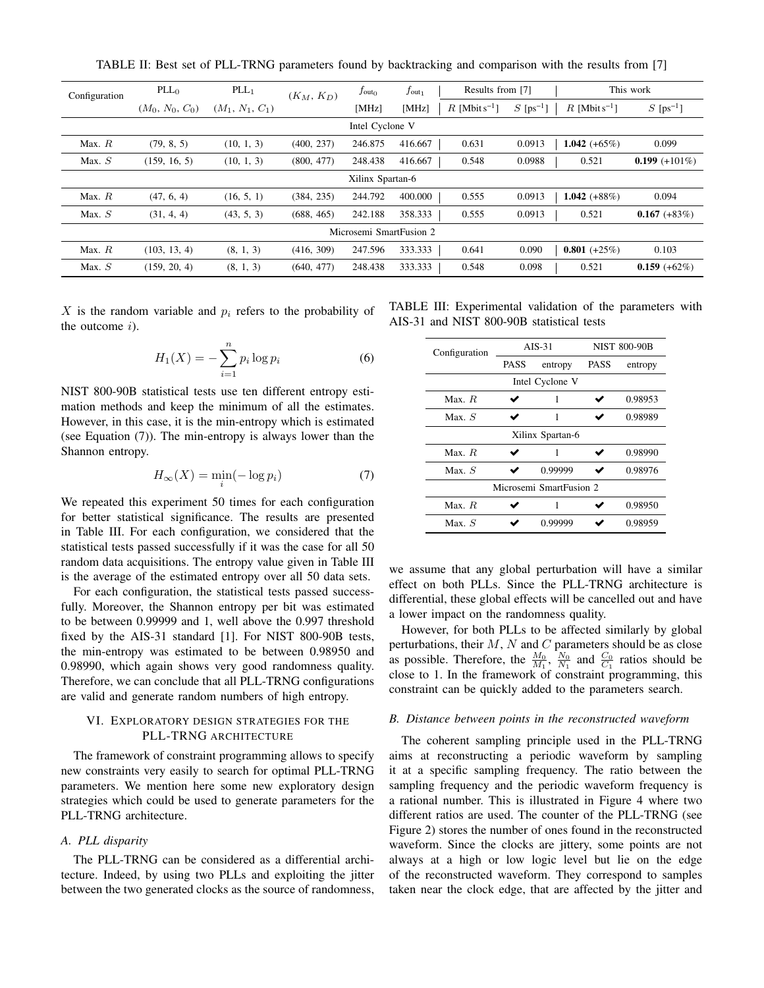TABLE II: Best set of PLL-TRNG parameters found by backtracking and comparison with the results from [\[7\]](#page-5-6)

<span id="page-4-1"></span>

| Configuration           | PLL <sub>0</sub>  | $PLL_1$           | $(K_M, K_D)$ | $f_{\text{out}_0}$ | $f_{\rm out_1}$ | Results from [7]            |                         | This work                   |                         |
|-------------------------|-------------------|-------------------|--------------|--------------------|-----------------|-----------------------------|-------------------------|-----------------------------|-------------------------|
|                         | $(M_0, N_0, C_0)$ | $(M_1, N_1, C_1)$ |              | [MHz]              | [MHz]           | $R$ [Mbit s <sup>-1</sup> ] | $S$ [ps <sup>-1</sup> ] | $R$ [Mbit s <sup>-1</sup> ] | $S$ [ps <sup>-1</sup> ] |
| Intel Cyclone V         |                   |                   |              |                    |                 |                             |                         |                             |                         |
| Max. $R$                | (79, 8, 5)        | (10, 1, 3)        | (400, 237)   | 246.875            | 416.667         | 0.631                       | 0.0913                  | 1.042 $(+65\%)$             | 0.099                   |
| Max. $S$                | (159, 16, 5)      | (10, 1, 3)        | (800, 477)   | 248.438            | 416.667         | 0.548                       | 0.0988                  | 0.521                       | $0.199 (+101\%)$        |
| Xilinx Spartan-6        |                   |                   |              |                    |                 |                             |                         |                             |                         |
| Max. $R$                | (47, 6, 4)        | (16, 5, 1)        | (384, 235)   | 244.792            | 400.000         | 0.555                       | 0.0913                  | 1.042 $(+88%)$              | 0.094                   |
| Max. $S$                | (31, 4, 4)        | (43, 5, 3)        | (688, 465)   | 242.188            | 358.333         | 0.555                       | 0.0913                  | 0.521                       | $0.167 (+83%)$          |
| Microsemi SmartFusion 2 |                   |                   |              |                    |                 |                             |                         |                             |                         |
| Max. $R$                | (103, 13, 4)      | (8, 1, 3)         | (416, 309)   | 247.596            | 333.333         | 0.641                       | 0.090                   | $0.801 (+25%)$              | 0.103                   |
| Max. $S$                | (159, 20, 4)      | (8, 1, 3)         | (640, 477)   | 248.438            | 333.333         | 0.548                       | 0.098                   | 0.521                       | $0.159 (+62%)$          |

X is the random variable and  $p_i$  refers to the probability of the outcome  $i$ ).

<span id="page-4-3"></span>
$$
H_1(X) = -\sum_{i=1}^{n} p_i \log p_i \tag{6}
$$

NIST 800-90B statistical tests use ten different entropy estimation methods and keep the minimum of all the estimates. However, in this case, it is the min-entropy which is estimated (see Equation [\(7\)](#page-4-4)). The min-entropy is always lower than the Shannon entropy.

<span id="page-4-4"></span>
$$
H_{\infty}(X) = \min_{i}(-\log p_i)
$$
 (7)

We repeated this experiment 50 times for each configuration for better statistical significance. The results are presented in Table [III.](#page-4-2) For each configuration, we considered that the statistical tests passed successfully if it was the case for all 50 random data acquisitions. The entropy value given in Table [III](#page-4-2) is the average of the estimated entropy over all 50 data sets.

For each configuration, the statistical tests passed successfully. Moreover, the Shannon entropy per bit was estimated to be between 0.99999 and 1, well above the 0.997 threshold fixed by the AIS-31 standard [\[1\]](#page-5-0). For NIST 800-90B tests, the min-entropy was estimated to be between 0.98950 and 0.98990, which again shows very good randomness quality. Therefore, we can conclude that all PLL-TRNG configurations are valid and generate random numbers of high entropy.

## <span id="page-4-0"></span>VI. EXPLORATORY DESIGN STRATEGIES FOR THE PLL-TRNG ARCHITECTURE

The framework of constraint programming allows to specify new constraints very easily to search for optimal PLL-TRNG parameters. We mention here some new exploratory design strategies which could be used to generate parameters for the PLL-TRNG architecture.

## *A. PLL disparity*

The PLL-TRNG can be considered as a differential architecture. Indeed, by using two PLLs and exploiting the jitter between the two generated clocks as the source of randomness,

<span id="page-4-2"></span>TABLE III: Experimental validation of the parameters with AIS-31 and NIST 800-90B statistical tests

| Configuration           |                 | $AIS-31$ | <b>NIST 800-90B</b> |         |  |  |  |  |
|-------------------------|-----------------|----------|---------------------|---------|--|--|--|--|
|                         | PASS<br>entropy |          | <b>PASS</b>         | entropy |  |  |  |  |
| Intel Cyclone V         |                 |          |                     |         |  |  |  |  |
| Max. R                  |                 | 1        |                     | 0.98953 |  |  |  |  |
| Max. S                  |                 | 1        |                     | 0.98989 |  |  |  |  |
| Xilinx Spartan-6        |                 |          |                     |         |  |  |  |  |
| Max. R                  |                 | 1        |                     | 0.98990 |  |  |  |  |
| Max. S                  |                 | 0.99999  |                     | 0.98976 |  |  |  |  |
| Microsemi SmartFusion 2 |                 |          |                     |         |  |  |  |  |
| Max. R                  |                 |          |                     | 0.98950 |  |  |  |  |
| $Max$ $S$               |                 | 0.99999  |                     | 0.98959 |  |  |  |  |

we assume that any global perturbation will have a similar effect on both PLLs. Since the PLL-TRNG architecture is differential, these global effects will be cancelled out and have a lower impact on the randomness quality.

However, for both PLLs to be affected similarly by global perturbations, their  $M$ ,  $N$  and  $C$  parameters should be as close as possible. Therefore, the  $\frac{M_0}{M_1}$ ,  $\frac{N_0}{N_1}$  and  $\frac{C_0}{C_1}$  ratios should be close to 1. In the framework of constraint programming, this constraint can be quickly added to the parameters search.

## *B. Distance between points in the reconstructed waveform*

The coherent sampling principle used in the PLL-TRNG aims at reconstructing a periodic waveform by sampling it at a specific sampling frequency. The ratio between the sampling frequency and the periodic waveform frequency is a rational number. This is illustrated in Figure [4](#page-5-12) where two different ratios are used. The counter of the PLL-TRNG (see Figure [2\)](#page-1-4) stores the number of ones found in the reconstructed waveform. Since the clocks are jittery, some points are not always at a high or low logic level but lie on the edge of the reconstructed waveform. They correspond to samples taken near the clock edge, that are affected by the jitter and